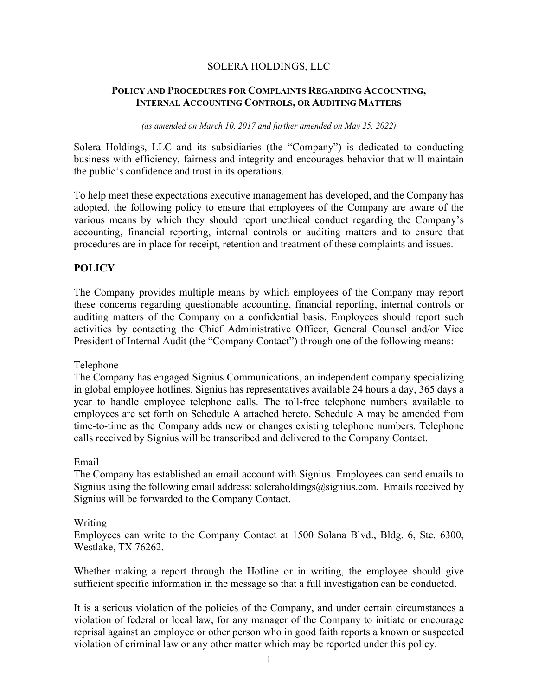### SOLERA HOLDINGS, LLC

#### **POLICY AND PROCEDURES FOR COMPLAINTS REGARDING ACCOUNTING, INTERNAL ACCOUNTING CONTROLS, OR AUDITING MATTERS**

*(as amended on March 10, 2017 and further amended on May 25, 2022)* 

Solera Holdings, LLC and its subsidiaries (the "Company") is dedicated to conducting business with efficiency, fairness and integrity and encourages behavior that will maintain the public's confidence and trust in its operations.

To help meet these expectations executive management has developed, and the Company has adopted, the following policy to ensure that employees of the Company are aware of the various means by which they should report unethical conduct regarding the Company's accounting, financial reporting, internal controls or auditing matters and to ensure that procedures are in place for receipt, retention and treatment of these complaints and issues.

# **POLICY**

The Company provides multiple means by which employees of the Company may report these concerns regarding questionable accounting, financial reporting, internal controls or auditing matters of the Company on a confidential basis. Employees should report such activities by contacting the Chief Administrative Officer, General Counsel and/or Vice President of Internal Audit (the "Company Contact") through one of the following means:

#### Telephone

The Company has engaged Signius Communications, an independent company specializing in global employee hotlines. Signius has representatives available 24 hours a day, 365 days a year to handle employee telephone calls. The toll-free telephone numbers available to employees are set forth on  $S$ chedule  $A$  attached hereto. Schedule  $A$  may be amended from time-to-time as the Company adds new or changes existing telephone numbers. Telephone calls received by Signius will be transcribed and delivered to the Company Contact.

#### Email

The Company has established an email account with Signius. Employees can send emails to Signius using the following email address: soleraholdings@signius.com. Emails received by Signius will be forwarded to the Company Contact.

#### Writing

Employees can write to the Company Contact at 1500 Solana Blvd., Bldg. 6, Ste. 6300, Westlake, TX 76262.

Whether making a report through the Hotline or in writing, the employee should give sufficient specific information in the message so that a full investigation can be conducted.

It is a serious violation of the policies of the Company, and under certain circumstances a violation of federal or local law, for any manager of the Company to initiate or encourage reprisal against an employee or other person who in good faith reports a known or suspected violation of criminal law or any other matter which may be reported under this policy.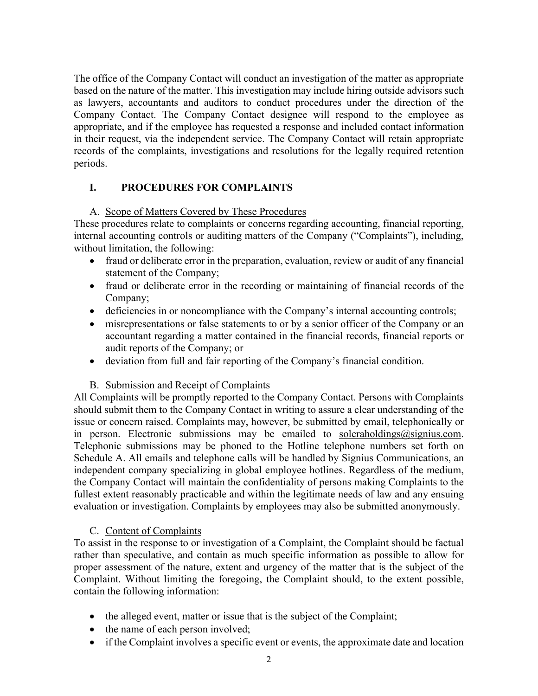The office of the Company Contact will conduct an investigation of the matter as appropriate based on the nature of the matter. This investigation may include hiring outside advisors such as lawyers, accountants and auditors to conduct procedures under the direction of the Company Contact. The Company Contact designee will respond to the employee as appropriate, and if the employee has requested a response and included contact information in their request, via the independent service. The Company Contact will retain appropriate records of the complaints, investigations and resolutions for the legally required retention periods.

# **I. PROCEDURES FOR COMPLAINTS**

### A. Scope of Matters Covered by These Procedures

These procedures relate to complaints or concerns regarding accounting, financial reporting, internal accounting controls or auditing matters of the Company ("Complaints"), including, without limitation, the following:

- fraud or deliberate error in the preparation, evaluation, review or audit of any financial statement of the Company;
- fraud or deliberate error in the recording or maintaining of financial records of the Company;
- deficiencies in or noncompliance with the Company's internal accounting controls;
- misrepresentations or false statements to or by a senior officer of the Company or an accountant regarding a matter contained in the financial records, financial reports or audit reports of the Company; or
- deviation from full and fair reporting of the Company's financial condition.

# B. Submission and Receipt of Complaints

All Complaints will be promptly reported to the Company Contact. Persons with Complaints should submit them to the Company Contact in writing to assure a clear understanding of the issue or concern raised. Complaints may, however, be submitted by email, telephonically or in person. Electronic submissions may be emailed to soleraholdings@signius.com. Telephonic submissions may be phoned to the Hotline telephone numbers set forth on Schedule A. All emails and telephone calls will be handled by Signius Communications, an independent company specializing in global employee hotlines. Regardless of the medium, the Company Contact will maintain the confidentiality of persons making Complaints to the fullest extent reasonably practicable and within the legitimate needs of law and any ensuing evaluation or investigation. Complaints by employees may also be submitted anonymously.

# C. Content of Complaints

To assist in the response to or investigation of a Complaint, the Complaint should be factual rather than speculative, and contain as much specific information as possible to allow for proper assessment of the nature, extent and urgency of the matter that is the subject of the Complaint. Without limiting the foregoing, the Complaint should, to the extent possible, contain the following information:

- the alleged event, matter or issue that is the subject of the Complaint;
- the name of each person involved;
- if the Complaint involves a specific event or events, the approximate date and location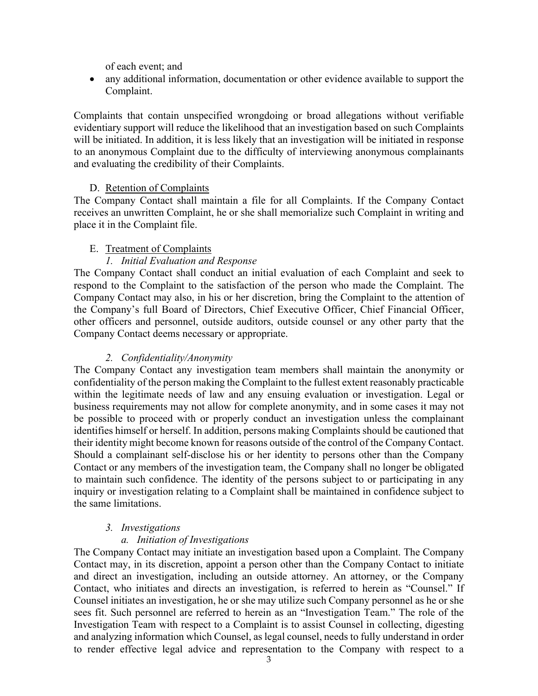of each event; and

• any additional information, documentation or other evidence available to support the Complaint.

Complaints that contain unspecified wrongdoing or broad allegations without verifiable evidentiary support will reduce the likelihood that an investigation based on such Complaints will be initiated. In addition, it is less likely that an investigation will be initiated in response to an anonymous Complaint due to the difficulty of interviewing anonymous complainants and evaluating the credibility of their Complaints.

### D. Retention of Complaints

The Company Contact shall maintain a file for all Complaints. If the Company Contact receives an unwritten Complaint, he or she shall memorialize such Complaint in writing and place it in the Complaint file.

### E. Treatment of Complaints

# *1. Initial Evaluation and Response*

The Company Contact shall conduct an initial evaluation of each Complaint and seek to respond to the Complaint to the satisfaction of the person who made the Complaint. The Company Contact may also, in his or her discretion, bring the Complaint to the attention of the Company's full Board of Directors, Chief Executive Officer, Chief Financial Officer, other officers and personnel, outside auditors, outside counsel or any other party that the Company Contact deems necessary or appropriate.

# *2. Confidentiality/Anonymity*

The Company Contact any investigation team members shall maintain the anonymity or confidentiality of the person making the Complaint to the fullest extent reasonably practicable within the legitimate needs of law and any ensuing evaluation or investigation. Legal or business requirements may not allow for complete anonymity, and in some cases it may not be possible to proceed with or properly conduct an investigation unless the complainant identifies himself or herself. In addition, persons making Complaints should be cautioned that their identity might become known for reasons outside of the control of the Company Contact. Should a complainant self-disclose his or her identity to persons other than the Company Contact or any members of the investigation team, the Company shall no longer be obligated to maintain such confidence. The identity of the persons subject to or participating in any inquiry or investigation relating to a Complaint shall be maintained in confidence subject to the same limitations.

#### *3. Investigations*

# *a. Initiation of Investigations*

The Company Contact may initiate an investigation based upon a Complaint. The Company Contact may, in its discretion, appoint a person other than the Company Contact to initiate and direct an investigation, including an outside attorney. An attorney, or the Company Contact, who initiates and directs an investigation, is referred to herein as "Counsel." If Counsel initiates an investigation, he or she may utilize such Company personnel as he or she sees fit. Such personnel are referred to herein as an "Investigation Team." The role of the Investigation Team with respect to a Complaint is to assist Counsel in collecting, digesting and analyzing information which Counsel, as legal counsel, needs to fully understand in order to render effective legal advice and representation to the Company with respect to a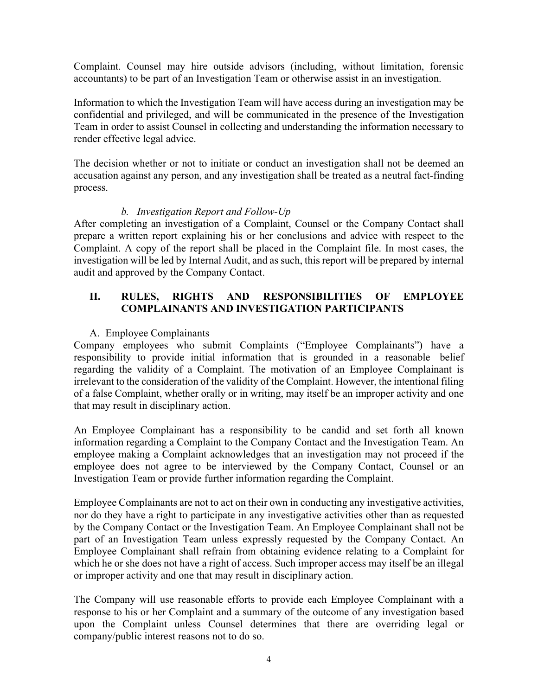Complaint. Counsel may hire outside advisors (including, without limitation, forensic accountants) to be part of an Investigation Team or otherwise assist in an investigation.

Information to which the Investigation Team will have access during an investigation may be confidential and privileged, and will be communicated in the presence of the Investigation Team in order to assist Counsel in collecting and understanding the information necessary to render effective legal advice.

The decision whether or not to initiate or conduct an investigation shall not be deemed an accusation against any person, and any investigation shall be treated as a neutral fact-finding process.

### *b. Investigation Report and Follow-Up*

After completing an investigation of a Complaint, Counsel or the Company Contact shall prepare a written report explaining his or her conclusions and advice with respect to the Complaint. A copy of the report shall be placed in the Complaint file. In most cases, the investigation will be led by Internal Audit, and as such, this report will be prepared by internal audit and approved by the Company Contact.

# **II. RULES, RIGHTS AND RESPONSIBILITIES OF EMPLOYEE COMPLAINANTS AND INVESTIGATION PARTICIPANTS**

### A. Employee Complainants

Company employees who submit Complaints ("Employee Complainants") have a responsibility to provide initial information that is grounded in a reasonable belief regarding the validity of a Complaint. The motivation of an Employee Complainant is irrelevant to the consideration of the validity of the Complaint. However, the intentional filing of a false Complaint, whether orally or in writing, may itself be an improper activity and one that may result in disciplinary action.

An Employee Complainant has a responsibility to be candid and set forth all known information regarding a Complaint to the Company Contact and the Investigation Team. An employee making a Complaint acknowledges that an investigation may not proceed if the employee does not agree to be interviewed by the Company Contact, Counsel or an Investigation Team or provide further information regarding the Complaint.

Employee Complainants are not to act on their own in conducting any investigative activities, nor do they have a right to participate in any investigative activities other than as requested by the Company Contact or the Investigation Team. An Employee Complainant shall not be part of an Investigation Team unless expressly requested by the Company Contact. An Employee Complainant shall refrain from obtaining evidence relating to a Complaint for which he or she does not have a right of access. Such improper access may itself be an illegal or improper activity and one that may result in disciplinary action.

The Company will use reasonable efforts to provide each Employee Complainant with a response to his or her Complaint and a summary of the outcome of any investigation based upon the Complaint unless Counsel determines that there are overriding legal or company/public interest reasons not to do so.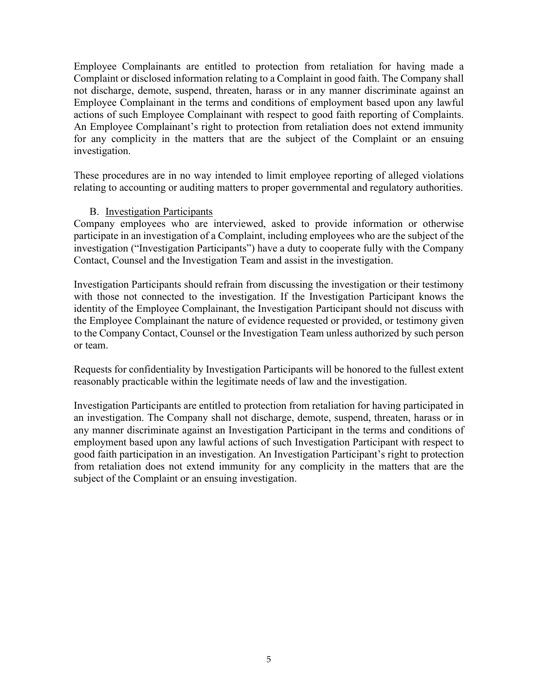Employee Complainants are entitled to protection from retaliation for having made a Complaint or disclosed information relating to a Complaint in good faith. The Company shall not discharge, demote, suspend, threaten, harass or in any manner discriminate against an Employee Complainant in the terms and conditions of employment based upon any lawful actions of such Employee Complainant with respect to good faith reporting of Complaints. An Employee Complainant's right to protection from retaliation does not extend immunity for any complicity in the matters that are the subject of the Complaint or an ensuing investigation.

These procedures are in no way intended to limit employee reporting of alleged violations relating to accounting or auditing matters to proper governmental and regulatory authorities.

#### B. Investigation Participants

Company employees who are interviewed, asked to provide information or otherwise participate in an investigation of a Complaint, including employees who are the subject of the investigation ("Investigation Participants") have a duty to cooperate fully with the Company Contact, Counsel and the Investigation Team and assist in the investigation.

Investigation Participants should refrain from discussing the investigation or their testimony with those not connected to the investigation. If the Investigation Participant knows the identity of the Employee Complainant, the Investigation Participant should not discuss with the Employee Complainant the nature of evidence requested or provided, or testimony given to the Company Contact, Counsel or the Investigation Team unless authorized by such person or team.

Requests for confidentiality by Investigation Participants will be honored to the fullest extent reasonably practicable within the legitimate needs of law and the investigation.

Investigation Participants are entitled to protection from retaliation for having participated in an investigation. The Company shall not discharge, demote, suspend, threaten, harass or in any manner discriminate against an Investigation Participant in the terms and conditions of employment based upon any lawful actions of such Investigation Participant with respect to good faith participation in an investigation. An Investigation Participant's right to protection from retaliation does not extend immunity for any complicity in the matters that are the subject of the Complaint or an ensuing investigation.